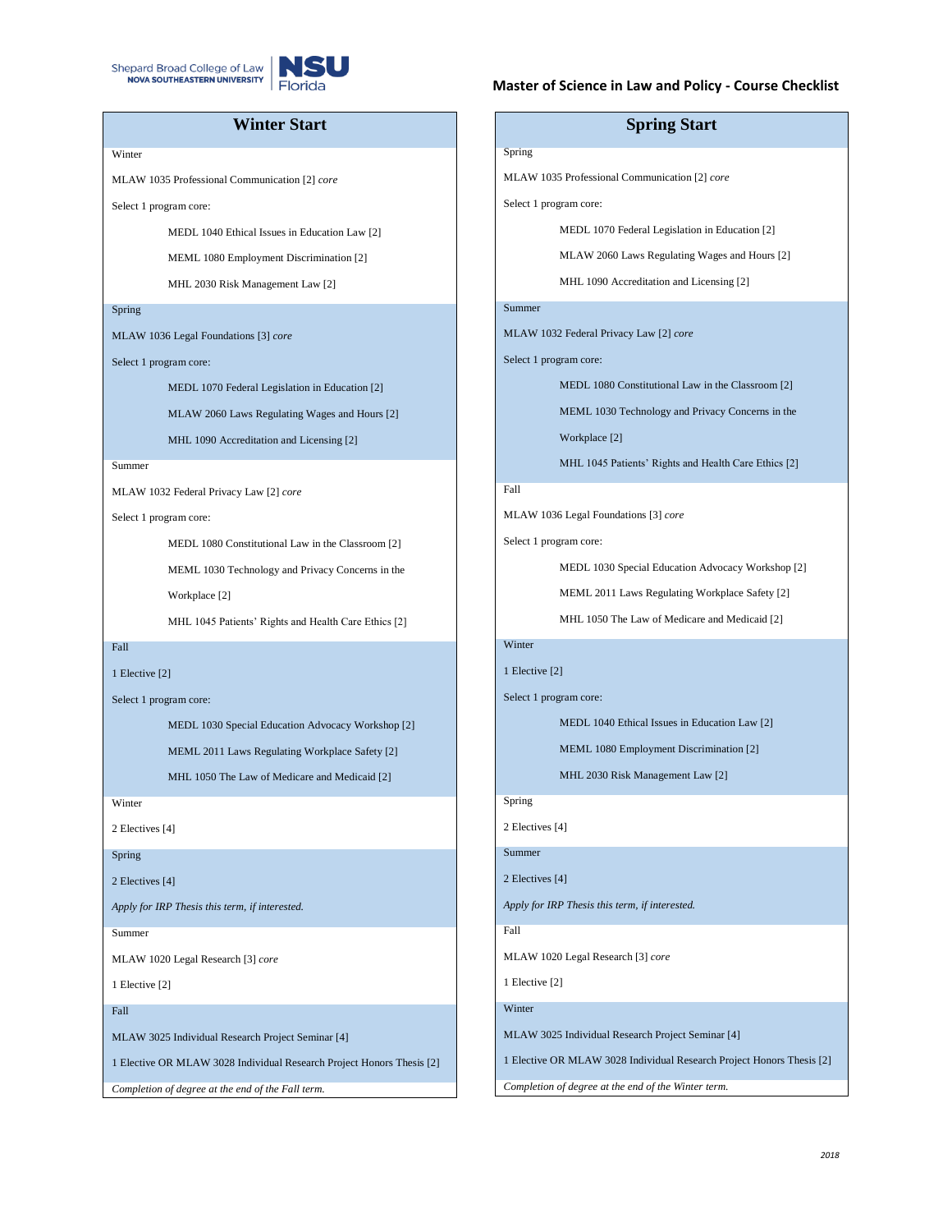



## **Winter Start**

### **Winter**

MLAW 1035 Professional Communication [2] *core*

Select 1 program core:

MEDL 1040 Ethical Issues in Education Law [2]

MEML 1080 Employment Discrimination [2]

MHL 2030 Risk Management Law [2]

#### Spring

MLAW 1036 Legal Foundations [3] *core*

Select 1 program core:

MEDL 1070 Federal Legislation in Education [2]

MLAW 2060 Laws Regulating Wages and Hours [2]

MHL 1090 Accreditation and Licensing [2]

#### Summer

MLAW 1032 Federal Privacy Law [2] *core*

Select 1 program core:

MEDL 1080 Constitutional Law in the Classroom [2]

MEML 1030 Technology and Privacy Concerns in the

Workplace [2]

MHL 1045 Patients' Rights and Health Care Ethics [2]

## Fall

1 Elective [2]

Select 1 program core:

MEDL 1030 Special Education Advocacy Workshop [2]

MEML 2011 Laws Regulating Workplace Safety [2]

MHL 1050 The Law of Medicare and Medicaid [2]

**Winter** 

2 Electives [4]

Spring

2 Electives [4]

*Apply for IRP Thesis this term, if interested.*

Summer

MLAW 1020 Legal Research [3] *core*

1 Elective [2]

Fall

MLAW 3025 Individual Research Project Seminar [4]

1 Elective OR MLAW 3028 Individual Research Project Honors Thesis [2]

*Completion of degree at the end of the Fall term.*

#### **Master of Science in Law and Policy - Course Checklist**

# **Spring Start** Spring MLAW 1035 Professional Communication [2] *core* Select 1 program core: MEDL 1070 Federal Legislation in Education [2] MLAW 2060 Laws Regulating Wages and Hours [2] MHL 1090 Accreditation and Licensing [2] Summer MLAW 1032 Federal Privacy Law [2] *core* Select 1 program core: MEDL 1080 Constitutional Law in the Classroom [2] MEML 1030 Technology and Privacy Concerns in the Workplace [2] MHL 1045 Patients' Rights and Health Care Ethics [2] Fall MLAW 1036 Legal Foundations [3] *core* Select 1 program core: MEDL 1030 Special Education Advocacy Workshop [2] MEML 2011 Laws Regulating Workplace Safety [2] MHL 1050 The Law of Medicare and Medicaid [2] Winter 1 Elective [2] Select 1 program core: MEDL 1040 Ethical Issues in Education Law [2] MEML 1080 Employment Discrimination [2] MHL 2030 Risk Management Law [2] Spring 2 Electives [4] Summer 2 Electives [4] *Apply for IRP Thesis this term, if interested.* Fall MLAW 1020 Legal Research [3] *core* 1 Elective [2]

Winter

MLAW 3025 Individual Research Project Seminar [4]

1 Elective OR MLAW 3028 Individual Research Project Honors Thesis [2]

*Completion of degree at the end of the Winter term.*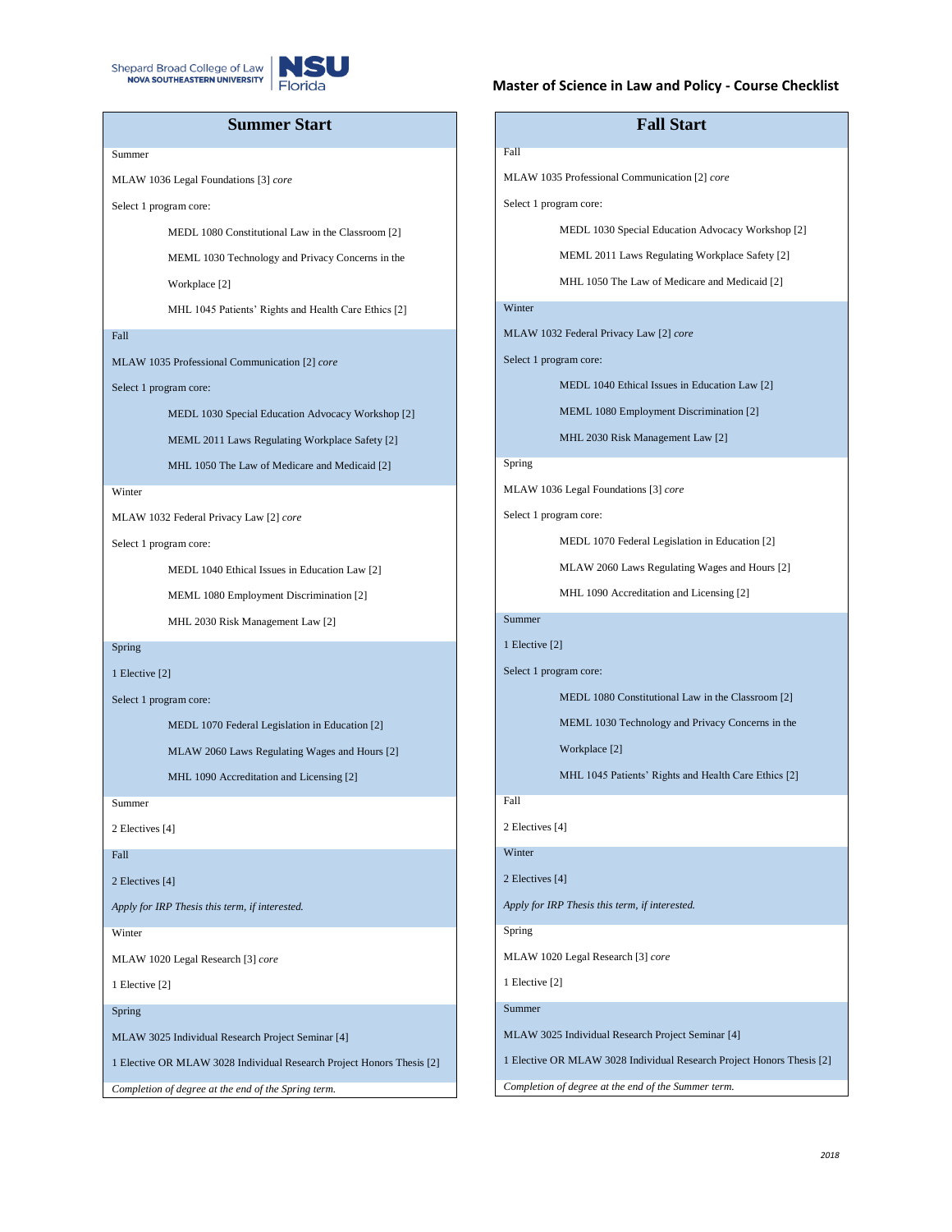



## **Summer Start**

Summer

MLAW 1036 Legal Foundations [3] *core*

Select 1 program core:

MEDL 1080 Constitutional Law in the Classroom [2]

MEML 1030 Technology and Privacy Concerns in the

Workplace [2]

MHL 1045 Patients' Rights and Health Care Ethics [2]

### Fall

MLAW 1035 Professional Communication [2] *core*

Select 1 program core:

MEDL 1030 Special Education Advocacy Workshop [2]

MEML 2011 Laws Regulating Workplace Safety [2]

MHL 1050 The Law of Medicare and Medicaid [2]

#### **Winter**

MLAW 1032 Federal Privacy Law [2] *core*

Select 1 program core:

MEDL 1040 Ethical Issues in Education Law [2]

MEML 1080 Employment Discrimination [2]

MHL 2030 Risk Management Law [2]

#### Spring

1 Elective [2]

Select 1 program core:

MEDL 1070 Federal Legislation in Education [2]

MLAW 2060 Laws Regulating Wages and Hours [2]

MHL 1090 Accreditation and Licensing [2]

Summer

2 Electives [4]

Fall

2 Electives [4]

*Apply for IRP Thesis this term, if interested.*

#### Winter

MLAW 1020 Legal Research [3] *core*

1 Elective [2]

#### Spring

MLAW 3025 Individual Research Project Seminar [4]

1 Elective OR MLAW 3028 Individual Research Project Honors Thesis [2]

*Completion of degree at the end of the Spring term.*

#### **Master of Science in Law and Policy - Course Checklist**

# **Fall Start** Fall MLAW 1035 Professional Communication [2] *core* Select 1 program core: MEDL 1030 Special Education Advocacy Workshop [2] MEML 2011 Laws Regulating Workplace Safety [2] MHL 1050 The Law of Medicare and Medicaid [2] Winter MLAW 1032 Federal Privacy Law [2] *core* Select 1 program core: MEDL 1040 Ethical Issues in Education Law [2] MEML 1080 Employment Discrimination [2] MHL 2030 Risk Management Law [2] Spring MLAW 1036 Legal Foundations [3] *core* Select 1 program core: MEDL 1070 Federal Legislation in Education [2] MLAW 2060 Laws Regulating Wages and Hours [2] MHL 1090 Accreditation and Licensing [2] Summer 1 Elective [2] Select 1 program core: MEDL 1080 Constitutional Law in the Classroom [2] MEML 1030 Technology and Privacy Concerns in the Workplace [2] MHL 1045 Patients' Rights and Health Care Ethics [2] Fall 2 Electives [4] Winter 2 Electives [4] *Apply for IRP Thesis this term, if interested.* Spring MLAW 1020 Legal Research [3] *core* 1 Elective [2] Summer MLAW 3025 Individual Research Project Seminar [4]

1 Elective OR MLAW 3028 Individual Research Project Honors Thesis [2]

*Completion of degree at the end of the Summer term.*